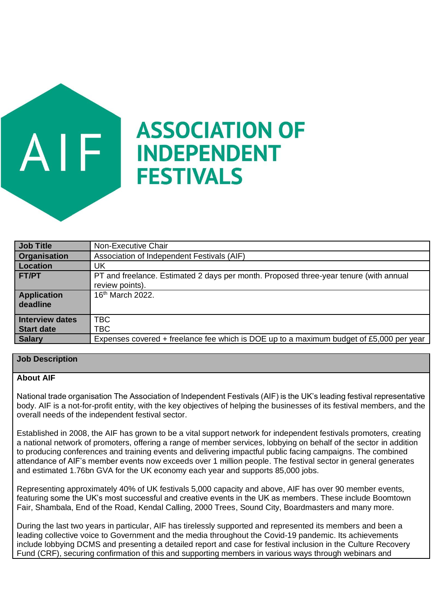# **ASSOCIATION OF INDEPENDENT FESTIVALS**

| Job Title                      | Non-Executive Chair                                                                                      |
|--------------------------------|----------------------------------------------------------------------------------------------------------|
| <b>Organisation</b>            | Association of Independent Festivals (AIF)                                                               |
| Location                       | UK                                                                                                       |
| <b>FT/PT</b>                   | PT and freelance. Estimated 2 days per month. Proposed three-year tenure (with annual<br>review points). |
| <b>Application</b><br>deadline | 16 <sup>th</sup> March 2022.                                                                             |
| Interview dates                | TBC                                                                                                      |
| Start date                     | TBC                                                                                                      |
| <b>Salary</b>                  | Expenses covered + freelance fee which is DOE up to a maximum budget of £5,000 per year                  |

## **Job Description**

JF

#### **About AIF**

National trade organisation The Association of Independent Festivals (AIF) is the UK's leading festival representative body. AIF is a not-for-profit entity, with the key objectives of helping the businesses of its festival members, and the overall needs of the independent festival sector.

Established in 2008, the AIF has grown to be a vital support network for independent festivals promoters, creating a national network of promoters, offering a range of member services, lobbying on behalf of the sector in addition to producing conferences and training events and delivering impactful public facing campaigns. The combined attendance of AIF's member events now exceeds over 1 million people. The festival sector in general generates and estimated 1.76bn GVA for the UK economy each year and supports 85,000 jobs.

Representing approximately 40% of UK festivals 5,000 capacity and above, AIF has over 90 member events, featuring some the UK's most successful and creative events in the UK as members. These include Boomtown Fair, Shambala, End of the Road, Kendal Calling, 2000 Trees, Sound City, Boardmasters and many more.

During the last two years in particular, AIF has tirelessly supported and represented its members and been a leading collective voice to Government and the media throughout the Covid-19 pandemic. Its achievements include lobbying DCMS and presenting a detailed report and case for festival inclusion in the Culture Recovery Fund (CRF), securing confirmation of this and supporting members in various ways through webinars and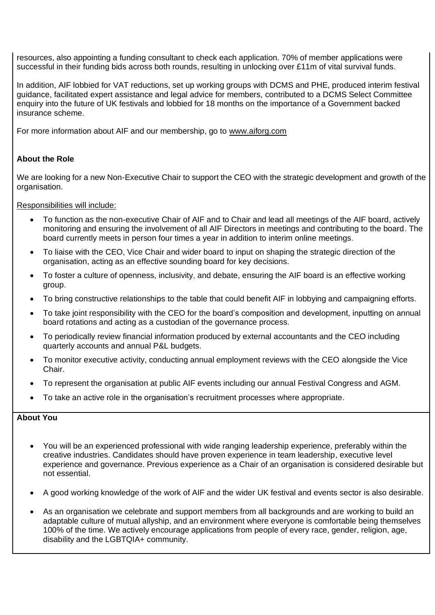resources, also appointing a funding consultant to check each application. 70% of member applications were successful in their funding bids across both rounds, resulting in unlocking over £11m of vital survival funds.

In addition, AIF lobbied for VAT reductions, set up working groups with DCMS and PHE, produced interim festival guidance, facilitated expert assistance and legal advice for members, contributed to a DCMS Select Committee enquiry into the future of UK festivals and lobbied for 18 months on the importance of a Government backed insurance scheme.

For more information about AIF and our membership, go to [www.aiforg.com](http://www.aiforg.com/)

## **About the Role**

We are looking for a new Non-Executive Chair to support the CEO with the strategic development and growth of the organisation.

Responsibilities will include:

- To function as the non-executive Chair of AIF and to Chair and lead all meetings of the AIF board, actively monitoring and ensuring the involvement of all AIF Directors in meetings and contributing to the board. The board currently meets in person four times a year in addition to interim online meetings.
- To liaise with the CEO, Vice Chair and wider board to input on shaping the strategic direction of the organisation, acting as an effective sounding board for key decisions.
- To foster a culture of openness, inclusivity, and debate, ensuring the AIF board is an effective working group.
- To bring constructive relationships to the table that could benefit AIF in lobbying and campaigning efforts.
- To take joint responsibility with the CEO for the board's composition and development, inputting on annual board rotations and acting as a custodian of the governance process.
- To periodically review financial information produced by external accountants and the CEO including quarterly accounts and annual P&L budgets.
- To monitor executive activity, conducting annual employment reviews with the CEO alongside the Vice Chair.
- To represent the organisation at public AIF events including our annual Festival Congress and AGM.
- To take an active role in the organisation's recruitment processes where appropriate.

## **About You**

- You will be an experienced professional with wide ranging leadership experience, preferably within the creative industries. Candidates should have proven experience in team leadership, executive level experience and governance. Previous experience as a Chair of an organisation is considered desirable but not essential.
- A good working knowledge of the work of AIF and the wider UK festival and events sector is also desirable.
- As an organisation we celebrate and support members from all backgrounds and are working to build an adaptable culture of mutual allyship, and an environment where everyone is comfortable being themselves 100% of the time. We actively encourage applications from people of every race, gender, religion, age, disability and the LGBTQIA+ community.